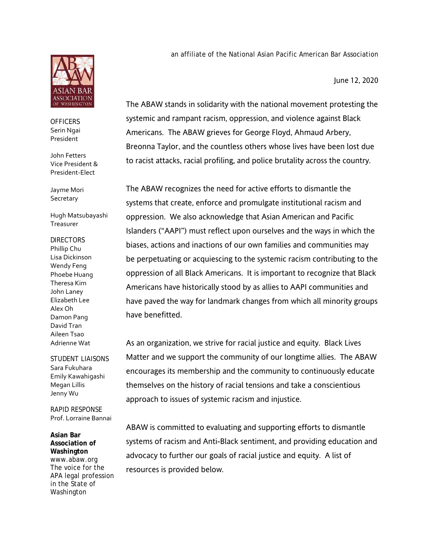

*OFFICERS* Serin Ngai President

John Fetters Vice President & President-Elect

Jayme Mori **Secretary** 

Hugh Matsubayashi **Treasurer** 

*DIRECTORS* Phillip Chu Lisa Dickinson Wendy Feng Phoebe Huang Theresa Kim John Laney Elizabeth Lee Alex Oh Damon Pang David Tran Aileen Tsao Adrienne Wat

*STUDENT LIAISONS*  Sara Fukuhara Emily Kawahigashi Megan Lillis Jenny Wu

*RAPID RESPONSE* Prof. Lorraine Bannai

**Asian Bar Association of Washington** www.abaw.org The voice for the APA legal profession in the State of Washington

an affiliate of the National Asian Pacific American Bar Association

June 12, 2020

The ABAW stands in solidarity with the national movement protesting the systemic and rampant racism, oppression, and violence against Black Americans. The ABAW grieves for George Floyd, Ahmaud Arbery, Breonna Taylor, and the countless others whose lives have been lost due to racist attacks, racial profiling, and police brutality across the country.

The ABAW recognizes the need for active efforts to dismantle the systems that create, enforce and promulgate institutional racism and oppression. We also acknowledge that Asian American and Pacific Islanders ("AAPI") must reflect upon ourselves and the ways in which the biases, actions and inactions of our own families and communities may be perpetuating or acquiescing to the systemic racism contributing to the oppression of all Black Americans. It is important to recognize that Black Americans have historically stood by as allies to AAPI communities and have paved the way for landmark changes from which all minority groups have benefitted.

As an organization, we strive for racial justice and equity. Black Lives Matter and we support the community of our longtime allies. The ABAW encourages its membership and the community to continuously educate themselves on the history of racial tensions and take a conscientious approach to issues of systemic racism and injustice.

ABAW is committed to evaluating and supporting efforts to dismantle systems of racism and Anti-Black sentiment, and providing education and advocacy to further our goals of racial justice and equity. A list of resources is provided below.